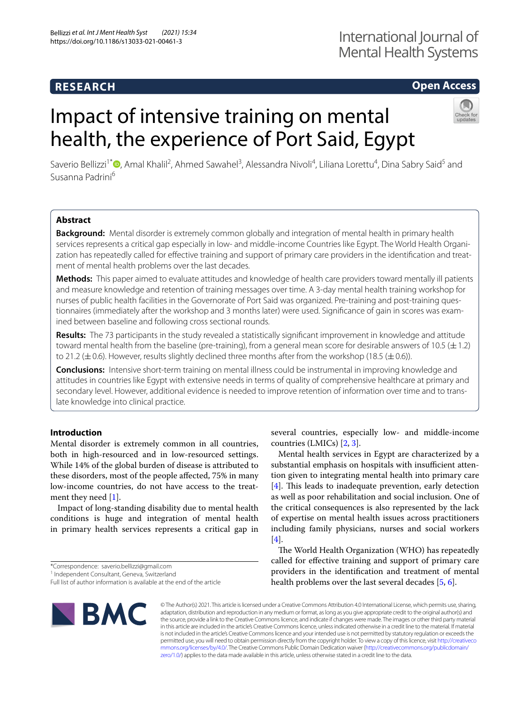# **RESEARCH**

# **Open Access**

# Impact of intensive training on mental health, the experience of Port Said, Egypt



Saverio Bellizzi<sup>1[\\*](http://orcid.org/0000-0002-4119-0803)</sup><sup>®</sup>, Amal Khalil<sup>2</sup>, Ahmed Sawahel<sup>3</sup>, Alessandra Nivoli<sup>4</sup>, Liliana Lorettu<sup>4</sup>, Dina Sabry Said<sup>5</sup> and Susanna Padrini6

# **Abstract**

**Background:** Mental disorder is extremely common globally and integration of mental health in primary health services represents a critical gap especially in low- and middle-income Countries like Egypt. The World Health Organization has repeatedly called for efective training and support of primary care providers in the identifcation and treatment of mental health problems over the last decades.

**Methods:** This paper aimed to evaluate attitudes and knowledge of health care providers toward mentally ill patients and measure knowledge and retention of training messages over time. A 3-day mental health training workshop for nurses of public health facilities in the Governorate of Port Said was organized. Pre-training and post-training questionnaires (immediately after the workshop and 3 months later) were used. Signifcance of gain in scores was examined between baseline and following cross sectional rounds.

**Results:** The 73 participants in the study revealed a statistically signifcant improvement in knowledge and attitude toward mental health from the baseline (pre-training), from a general mean score for desirable answers of 10.5  $(\pm 1.2)$ to 21.2 ( $\pm$  0.6). However, results slightly declined three months after from the workshop (18.5 ( $\pm$  0.6)).

**Conclusions:** Intensive short-term training on mental illness could be instrumental in improving knowledge and attitudes in countries like Egypt with extensive needs in terms of quality of comprehensive healthcare at primary and secondary level. However, additional evidence is needed to improve retention of information over time and to translate knowledge into clinical practice.

## **Introduction**

Mental disorder is extremely common in all countries, both in high-resourced and in low-resourced settings. While 14% of the global burden of disease is attributed to these disorders, most of the people afected, 75% in many low-income countries, do not have access to the treatment they need [[1\]](#page-5-0).

Impact of long-standing disability due to mental health conditions is huge and integration of mental health in primary health services represents a critical gap in

<sup>1</sup> Independent Consultant, Geneva, Switzerland

several countries, especially low- and middle-income countries (LMICs) [[2,](#page-5-1) [3](#page-5-2)].

Mental health services in Egypt are characterized by a substantial emphasis on hospitals with insufficient attention given to integrating mental health into primary care [[4\]](#page-5-3). This leads to inadequate prevention, early detection as well as poor rehabilitation and social inclusion. One of the critical consequences is also represented by the lack of expertise on mental health issues across practitioners including family physicians, nurses and social workers [[4\]](#page-5-3).

The World Health Organization (WHO) has repeatedly called for efective training and support of primary care providers in the identifcation and treatment of mental health problems over the last several decades [[5,](#page-5-4) [6](#page-5-5)].



© The Author(s) 2021. This article is licensed under a Creative Commons Attribution 4.0 International License, which permits use, sharing, adaptation, distribution and reproduction in any medium or format, as long as you give appropriate credit to the original author(s) and the source, provide a link to the Creative Commons licence, and indicate if changes were made. The images or other third party material in this article are included in the article's Creative Commons licence, unless indicated otherwise in a credit line to the material. If material is not included in the article's Creative Commons licence and your intended use is not permitted by statutory regulation or exceeds the permitted use, you will need to obtain permission directly from the copyright holder. To view a copy of this licence, visit [http://creativeco](http://creativecommons.org/licenses/by/4.0/) [mmons.org/licenses/by/4.0/.](http://creativecommons.org/licenses/by/4.0/) The Creative Commons Public Domain Dedication waiver ([http://creativecommons.org/publicdomain/](http://creativecommons.org/publicdomain/zero/1.0/) [zero/1.0/\)](http://creativecommons.org/publicdomain/zero/1.0/) applies to the data made available in this article, unless otherwise stated in a credit line to the data.

<sup>\*</sup>Correspondence: saverio.bellizzi@gmail.com

Full list of author information is available at the end of the article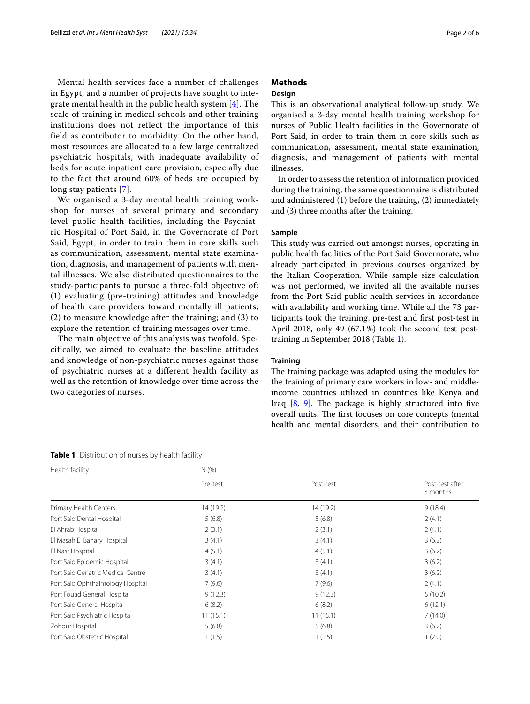Mental health services face a number of challenges in Egypt, and a number of projects have sought to integrate mental health in the public health system [[4\]](#page-5-3). The scale of training in medical schools and other training institutions does not reflect the importance of this field as contributor to morbidity. On the other hand, most resources are allocated to a few large centralized psychiatric hospitals, with inadequate availability of beds for acute inpatient care provision, especially due to the fact that around 60% of beds are occupied by long stay patients [[7](#page-5-6)].

We organised a 3-day mental health training workshop for nurses of several primary and secondary level public health facilities, including the Psychiatric Hospital of Port Said, in the Governorate of Port Said, Egypt, in order to train them in core skills such as communication, assessment, mental state examination, diagnosis, and management of patients with mental illnesses. We also distributed questionnaires to the study-participants to pursue a three-fold objective of: (1) evaluating (pre-training) attitudes and knowledge of health care providers toward mentally ill patients; (2) to measure knowledge after the training; and (3) to explore the retention of training messages over time.

The main objective of this analysis was twofold. Specifically, we aimed to evaluate the baseline attitudes and knowledge of non-psychiatric nurses against those of psychiatric nurses at a different health facility as well as the retention of knowledge over time across the two categories of nurses.

<span id="page-1-0"></span>

| Table 1 Distribution of nurses by health facility |           |           |                             |  |  |  |
|---------------------------------------------------|-----------|-----------|-----------------------------|--|--|--|
| Health facility                                   | N(%)      |           |                             |  |  |  |
|                                                   | Pre-test  | Post-test | Post-test after<br>3 months |  |  |  |
| Primary Health Centers                            | 14 (19.2) | 14 (19.2) | 9(18.4)                     |  |  |  |
| Port Said Dental Hospital                         | 5(6.8)    | 5(6.8)    | 2(4.1)                      |  |  |  |
| El Ahrab Hospital                                 | 2(3.1)    | 2(3.1)    | 2(4.1)                      |  |  |  |
| El Masah El Bahary Hospital                       | 3(4.1)    | 3(4.1)    | 3(6.2)                      |  |  |  |
| El Nasr Hospital                                  | 4(5.1)    | 4(5.1)    | 3(6.2)                      |  |  |  |
| Port Said Epidemic Hospital                       | 3(4.1)    | 3(4.1)    | 3(6.2)                      |  |  |  |
| Port Said Geriatric Medical Centre                | 3(4.1)    | 3(4.1)    | 3(6.2)                      |  |  |  |
| Port Said Ophthalmology Hospital                  | 7(9.6)    | 7(9.6)    | 2(4.1)                      |  |  |  |
| Port Fouad General Hospital                       | 9(12.3)   | 9(12.3)   | 5(10.2)                     |  |  |  |
| Port Said General Hospital                        | 6(8.2)    | 6(8.2)    | 6(12.1)                     |  |  |  |
| Port Said Psychiatric Hospital                    | 11(15.1)  | 11(15.1)  | 7(14.0)                     |  |  |  |
| Zohour Hospital                                   | 5(6.8)    | 5(6.8)    | 3(6.2)                      |  |  |  |

Port Said Obstetric Hospital 1 (1.5) 1 (2.0) 1 (1.5) 1 (3.0)

# **Methods**

#### **Design**

This is an observational analytical follow-up study. We organised a 3-day mental health training workshop for nurses of Public Health facilities in the Governorate of Port Said, in order to train them in core skills such as communication, assessment, mental state examination, diagnosis, and management of patients with mental illnesses.

In order to assess the retention of information provided during the training, the same questionnaire is distributed and administered (1) before the training, (2) immediately and (3) three months after the training.

# **Sample**

This study was carried out amongst nurses, operating in public health facilities of the Port Said Governorate, who already participated in previous courses organized by the Italian Cooperation. While sample size calculation was not performed, we invited all the available nurses from the Port Said public health services in accordance with availability and working time. While all the 73 participants took the training, pre-test and frst post-test in April 2018, only 49 (67.1%) took the second test posttraining in September 2018 (Table [1](#page-1-0)).

#### **Training**

The training package was adapted using the modules for the training of primary care workers in low- and middleincome countries utilized in countries like Kenya and Iraq  $[8, 9]$  $[8, 9]$  $[8, 9]$  $[8, 9]$ . The package is highly structured into five overall units. The first focuses on core concepts (mental health and mental disorders, and their contribution to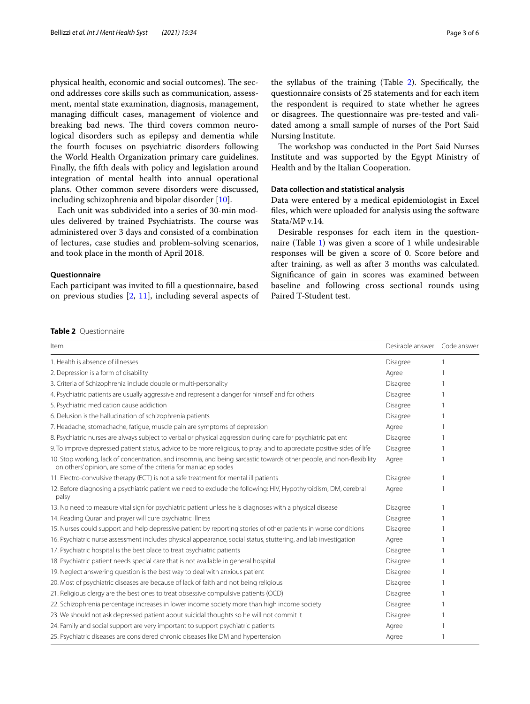physical health, economic and social outcomes). The second addresses core skills such as communication, assessment, mental state examination, diagnosis, management, managing difficult cases, management of violence and breaking bad news. The third covers common neurological disorders such as epilepsy and dementia while the fourth focuses on psychiatric disorders following the World Health Organization primary care guidelines. Finally, the ffth deals with policy and legislation around integration of mental health into annual operational plans. Other common severe disorders were discussed, including schizophrenia and bipolar disorder [[10](#page-5-9)].

Each unit was subdivided into a series of 30-min modules delivered by trained Psychiatrists. The course was administered over 3 days and consisted of a combination of lectures, case studies and problem-solving scenarios, and took place in the month of April 2018.

#### **Questionnaire**

Each participant was invited to fll a questionnaire, based on previous studies [\[2](#page-5-1), [11\]](#page-5-10), including several aspects of the syllabus of the training (Table [2\)](#page-2-0). Specifcally, the questionnaire consists of 25 statements and for each item the respondent is required to state whether he agrees or disagrees. The questionnaire was pre-tested and validated among a small sample of nurses of the Port Said Nursing Institute.

The workshop was conducted in the Port Said Nurses Institute and was supported by the Egypt Ministry of Health and by the Italian Cooperation.

#### **Data collection and statistical analysis**

Data were entered by a medical epidemiologist in Excel fles, which were uploaded for analysis using the software Stata/MP v.14.

Desirable responses for each item in the questionnaire (Table [1\)](#page-1-0) was given a score of 1 while undesirable responses will be given a score of 0. Score before and after training, as well as after 3 months was calculated. Signifcance of gain in scores was examined between baseline and following cross sectional rounds using Paired T-Student test.

#### <span id="page-2-0"></span>**Table 2** Questionnaire

| Item                                                                                                                                                                                     | Desirable answer Code answer |  |
|------------------------------------------------------------------------------------------------------------------------------------------------------------------------------------------|------------------------------|--|
| 1. Health is absence of illnesses                                                                                                                                                        | Disagree                     |  |
| 2. Depression is a form of disability                                                                                                                                                    | Agree                        |  |
| 3. Criteria of Schizophrenia include double or multi-personality                                                                                                                         | Disagree                     |  |
| 4. Psychiatric patients are usually aggressive and represent a danger for himself and for others                                                                                         | Disagree                     |  |
| 5. Psychiatric medication cause addiction                                                                                                                                                | Disagree                     |  |
| 6. Delusion is the hallucination of schizophrenia patients                                                                                                                               | Disagree                     |  |
| 7. Headache, stomachache, fatique, muscle pain are symptoms of depression                                                                                                                | Agree                        |  |
| 8. Psychiatric nurses are always subject to verbal or physical aggression during care for psychiatric patient                                                                            | <b>Disagree</b>              |  |
| 9. To improve depressed patient status, advice to be more religious, to pray, and to appreciate positive sides of life                                                                   | Disagree                     |  |
| 10. Stop working, lack of concentration, and insomnia, and being sarcastic towards other people, and non-flexibility<br>on others' opinion, are some of the criteria for maniac episodes | Agree                        |  |
| 11. Electro-convulsive therapy (ECT) is not a safe treatment for mental ill patients                                                                                                     | Disagree                     |  |
| 12. Before diagnosing a psychiatric patient we need to exclude the following: HIV, Hypothyroidism, DM, cerebral<br>palsy                                                                 | Agree                        |  |
| 13. No need to measure vital sign for psychiatric patient unless he is diagnoses with a physical disease                                                                                 | Disagree                     |  |
| 14. Reading Quran and prayer will cure psychiatric illness                                                                                                                               | Disagree                     |  |
| 15. Nurses could support and help depressive patient by reporting stories of other patients in worse conditions                                                                          | Disagree                     |  |
| 16. Psychiatric nurse assessment includes physical appearance, social status, stuttering, and lab investigation                                                                          | Agree                        |  |
| 17. Psychiatric hospital is the best place to treat psychiatric patients                                                                                                                 | Disagree                     |  |
| 18. Psychiatric patient needs special care that is not available in general hospital                                                                                                     | Disagree                     |  |
| 19. Neglect answering question is the best way to deal with anxious patient                                                                                                              | Disagree                     |  |
| 20. Most of psychiatric diseases are because of lack of faith and not being religious                                                                                                    | Disagree                     |  |
| 21. Religious clergy are the best ones to treat obsessive compulsive patients (OCD)                                                                                                      | Disagree                     |  |
| 22. Schizophrenia percentage increases in lower income society more than high income society                                                                                             | Disagree                     |  |
| 23. We should not ask depressed patient about suicidal thoughts so he will not commit it                                                                                                 | Disagree                     |  |
| 24. Family and social support are very important to support psychiatric patients                                                                                                         | Agree                        |  |
| 25. Psychiatric diseases are considered chronic diseases like DM and hypertension                                                                                                        | Agree                        |  |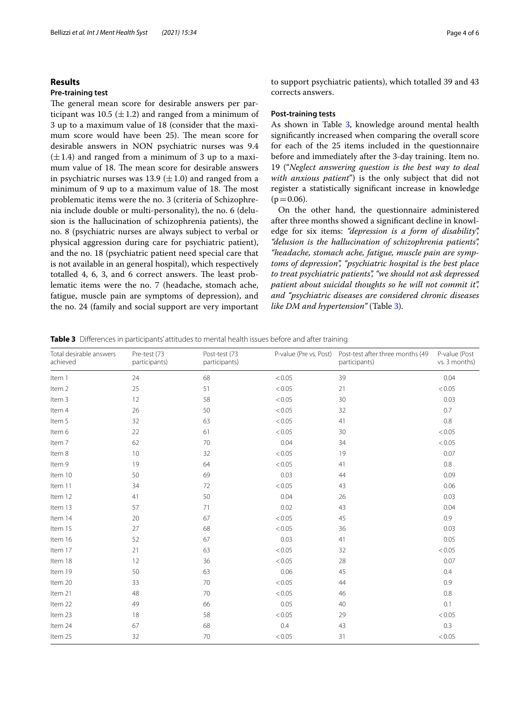#### **Results**

#### **Pre‐training test**

The general mean score for desirable answers per participant was 10.5 ( $\pm$ 1.2) and ranged from a minimum of 3 up to a maximum value of 18 (consider that the maximum score would have been 25). The mean score for desirable answers in NON psychiatric nurses was 9.4  $(\pm 1.4)$  and ranged from a minimum of 3 up to a maximum value of 18. The mean score for desirable answers in psychiatric nurses was 13.9 ( $\pm$ 1.0) and ranged from a minimum of 9 up to a maximum value of 18. The most problematic items were the no. 3 (criteria of Schizophrenia include double or multi-personality), the no. 6 (delusion is the hallucination of schizophrenia patients), the no. 8 (psychiatric nurses are always subject to verbal or physical aggression during care for psychiatric patient), and the no. 18 (psychiatric patient need special care that is not available in an general hospital), which respectively totalled 4, 6, 3, and 6 correct answers. The least problematic items were the no. 7 (headache, stomach ache, fatigue, muscle pain are symptoms of depression), and the no. 24 (family and social support are very important

to support psychiatric patients), which totalled 39 and 43 corrects answers.

#### **Post‐training tests**

As shown in Table [3](#page-3-0), knowledge around mental health signifcantly increased when comparing the overall score for each of the 25 items included in the questionnaire before and immediately after the 3-day training. Item no. 19 ("*Neglect answering question is the best way to deal with anxious patient*") is the only subject that did not register a statistically signifcant increase in knowledge  $(p=0.06)$ .

On the other hand, the questionnaire administered after three months showed a signifcant decline in knowledge for six items: *"depression is a form of disability", "delusion is the hallucination of schizophrenia patients", "headache, stomach ache, fatigue, muscle pain are symptoms of depression", "psychiatric hospital is the best place to treat psychiatric patients", "we should not ask depressed patient about suicidal thoughts so he will not commit it", and "psychiatric diseases are considered chronic diseases like DM and hypertension"* (Table [3\)](#page-3-0).

<span id="page-3-0"></span>**Table 3** Diferences in participants' attitudes to mental health issues before and after training

| Total desirable answers<br>achieved | Pre-test (73<br>participants) | Post-test (73<br>participants) | P-value (Pre vs. Post) | Post-test after three months (49<br>participants) | P-value (Post<br>vs. 3 months) |
|-------------------------------------|-------------------------------|--------------------------------|------------------------|---------------------------------------------------|--------------------------------|
| Item 1                              | 24                            | 68                             | < 0.05                 | 39                                                | 0.04                           |
| Item 2                              | 25                            | 51                             | < 0.05                 | 21                                                | < 0.05                         |
| Item 3                              | 12                            | 58                             | < 0.05                 | 30                                                | 0.03                           |
| Item 4                              | 26                            | 50                             | < 0.05                 | 32                                                | 0.7                            |
| Item 5                              | 32                            | 63                             | < 0.05                 | 41                                                | 0.8                            |
| Item 6                              | 22                            | 61                             | < 0.05                 | 30                                                | < 0.05                         |
| Item 7                              | 62                            | 70                             | 0.04                   | 34                                                | < 0.05                         |
| Item 8                              | 10                            | 32                             | < 0.05                 | 19                                                | 0.07                           |
| Item 9                              | 19                            | 64                             | < 0.05                 | 41                                                | 0.8                            |
| Item 10                             | 50                            | 69                             | 0.03                   | 44                                                | 0.09                           |
| Item 11                             | 34                            | 72                             | < 0.05                 | 43                                                | 0.06                           |
| Item 12                             | 41                            | 50                             | 0.04                   | 26                                                | 0.03                           |
| Item 13                             | 57                            | 71                             | 0.02                   | 43                                                | 0.04                           |
| Item 14                             | 20                            | 67                             | < 0.05                 | 45                                                | 0.9                            |
| Item 15                             | 27                            | 68                             | < 0.05                 | 36                                                | 0.03                           |
| Item 16                             | 52                            | 67                             | 0.03                   | 41                                                | 0.05                           |
| Item 17                             | 21                            | 63                             | < 0.05                 | 32                                                | < 0.05                         |
| Item 18                             | 12                            | 36                             | < 0.05                 | 28                                                | 0.07                           |
| Item 19                             | 50                            | 63                             | 0.06                   | 45                                                | 0.4                            |
| Item 20                             | 33                            | 70                             | < 0.05                 | 44                                                | 0.9                            |
| Item 21                             | 48                            | 70                             | < 0.05                 | 46                                                | 0.8                            |
| Item 22                             | 49                            | 66                             | 0.05                   | 40                                                | 0.1                            |
| Item 23                             | 18                            | 58                             | < 0.05                 | 29                                                | < 0.05                         |
| Item 24                             | 67                            | 68                             | 0.4                    | 43                                                | 0.3                            |
| Item 25                             | 32                            | 70                             | < 0.05                 | 31                                                | < 0.05                         |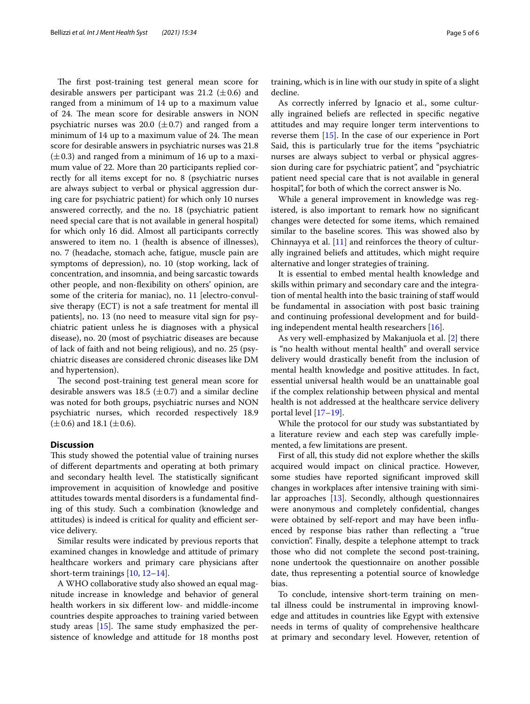The first post-training test general mean score for desirable answers per participant was 21.2 ( $\pm$ 0.6) and ranged from a minimum of 14 up to a maximum value of 24. The mean score for desirable answers in NON psychiatric nurses was 20.0  $(\pm 0.7)$  and ranged from a minimum of 14 up to a maximum value of 24. The mean score for desirable answers in psychiatric nurses was 21.8  $(\pm 0.3)$  and ranged from a minimum of 16 up to a maximum value of 22. More than 20 participants replied correctly for all items except for no. 8 (psychiatric nurses are always subject to verbal or physical aggression during care for psychiatric patient) for which only 10 nurses answered correctly, and the no. 18 (psychiatric patient need special care that is not available in general hospital) for which only 16 did. Almost all participants correctly answered to item no. 1 (health is absence of illnesses), no. 7 (headache, stomach ache, fatigue, muscle pain are symptoms of depression), no. 10 (stop working, lack of concentration, and insomnia, and being sarcastic towards other people, and non-fexibility on others' opinion, are some of the criteria for maniac), no. 11 [electro-convulsive therapy (ECT) is not a safe treatment for mental ill patients], no. 13 (no need to measure vital sign for psychiatric patient unless he is diagnoses with a physical disease), no. 20 (most of psychiatric diseases are because of lack of faith and not being religious), and no. 25 (psychiatric diseases are considered chronic diseases like DM and hypertension).

The second post-training test general mean score for desirable answers was 18.5 ( $\pm$ 0.7) and a similar decline was noted for both groups, psychiatric nurses and NON psychiatric nurses, which recorded respectively 18.9  $(\pm 0.6)$  and 18.1 ( $\pm 0.6$ ).

#### **Discussion**

This study showed the potential value of training nurses of diferent departments and operating at both primary and secondary health level. The statistically significant improvement in acquisition of knowledge and positive attitudes towards mental disorders is a fundamental fnding of this study. Such a combination (knowledge and attitudes) is indeed is critical for quality and efficient service delivery.

Similar results were indicated by previous reports that examined changes in knowledge and attitude of primary healthcare workers and primary care physicians after short-term trainings [\[10](#page-5-9), [12–](#page-5-11)[14](#page-5-12)].

A WHO collaborative study also showed an equal magnitude increase in knowledge and behavior of general health workers in six diferent low- and middle-income countries despite approaches to training varied between study areas  $[15]$  $[15]$ . The same study emphasized the persistence of knowledge and attitude for 18 months post training, which is in line with our study in spite of a slight decline.

As correctly inferred by Ignacio et al., some culturally ingrained beliefs are refected in specifc negative attitudes and may require longer term interventions to reverse them [\[15](#page-5-13)]. In the case of our experience in Port Said, this is particularly true for the items "psychiatric nurses are always subject to verbal or physical aggression during care for psychiatric patient", and "psychiatric patient need special care that is not available in general hospital", for both of which the correct answer is No.

While a general improvement in knowledge was registered, is also important to remark how no signifcant changes were detected for some items, which remained similar to the baseline scores. This was showed also by Chinnayya et al. [\[11\]](#page-5-10) and reinforces the theory of culturally ingrained beliefs and attitudes, which might require alternative and longer strategies of training.

It is essential to embed mental health knowledge and skills within primary and secondary care and the integration of mental health into the basic training of staf would be fundamental in association with post basic training and continuing professional development and for building independent mental health researchers [\[16](#page-5-14)].

As very well-emphasized by Makanjuola et al. [[2\]](#page-5-1) there is "no health without mental health" and overall service delivery would drastically beneft from the inclusion of mental health knowledge and positive attitudes. In fact, essential universal health would be an unattainable goal if the complex relationship between physical and mental health is not addressed at the healthcare service delivery portal level [[17–](#page-5-15)[19\]](#page-5-16).

While the protocol for our study was substantiated by a literature review and each step was carefully implemented, a few limitations are present.

First of all, this study did not explore whether the skills acquired would impact on clinical practice. However, some studies have reported signifcant improved skill changes in workplaces after intensive training with similar approaches [\[13](#page-5-17)]. Secondly, although questionnaires were anonymous and completely confdential, changes were obtained by self-report and may have been infuenced by response bias rather than refecting a "true conviction". Finally, despite a telephone attempt to track those who did not complete the second post-training, none undertook the questionnaire on another possible date, thus representing a potential source of knowledge bias.

To conclude, intensive short-term training on mental illness could be instrumental in improving knowledge and attitudes in countries like Egypt with extensive needs in terms of quality of comprehensive healthcare at primary and secondary level. However, retention of